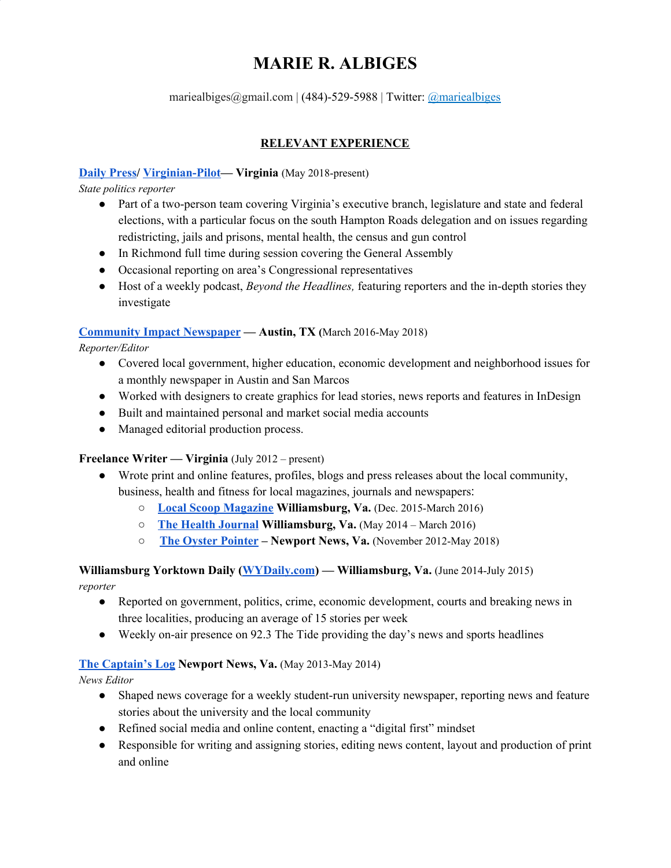## **MARIE R. ALBIGES**

mariealbiges@gmail.com | (484)-529-5988 | Twitter: @mariealbiges

### **RELEVANT EXPERIENCE**

### **[Daily](http://www.dailypress.com/) Press/ [Virginian-Pilot—](https://www.pilotonline.com/) Virginia** (May 2018-present)

*State politics reporter*

- Part of a two-person team covering Virginia's executive branch, legislature and state and federal elections, with a particular focus on the south Hampton Roads delegation and on issues regarding redistricting, jails and prisons, mental health, the census and gun control
- In Richmond full time during session covering the General Assembly
- Occasional reporting on area's Congressional representatives
- Host of a weekly podcast, *Beyond the Headlines,* featuring reporters and the in-depth stories they investigate

### **[Community](http://www.communityimpact.com/) Impact Newspaper — Austin, TX (**March 2016-May 2018)

*Reporter/Editor*

- Covered local government, higher education, economic development and neighborhood issues for a monthly newspaper in Austin and San Marcos
- Worked with designers to create graphics for lead stories, news reports and features in InDesign
- Built and maintained personal and market social media accounts
- Managed editorial production process.

### **Freelance Writer — Virginia** (July 2012 – present)

- Wrote print and online features, profiles, blogs and press releases about the local community, business, health and fitness for local magazines, journals and newspapers:
	- **Local Scoop [Magazine](http://www.localscoopmagazine.com/) Williamsburg, Va.** (Dec. 2015-March 2016)
	- **The Health [Journal](http://www.thehealthjournals.com/) Williamsburg, Va.** (May 2014 March 2016)
	- **[T](http://www.oysterpointer.com/)he Oyster [Pointer](http://www.oysterpointer.com/) – Newport News, Va.** (November 2012-May 2018)

# **Williamsburg Yorktown Daily [\(WYDaily.com](https://wydaily.com/)) — Williamsburg, Va.** (June 2014-July 2015)

*reporter*

- Reported on government, politics, crime, economic development, courts and breaking news in three localities, producing an average of 15 stories per week
- Weekly on-air presence on 92.3 The Tide providing the day's news and sports headlines

### **The [Captain's](http://www.thecaptainslog.org/author/malbiges/) Log Newport News, Va.** (May 2013-May 2014)

*News Editor*

- Shaped news coverage for a weekly student-run university newspaper, reporting news and feature stories about the university and the local community
- Refined social media and online content, enacting a "digital first" mindset
- Responsible for writing and assigning stories, editing news content, layout and production of print and online